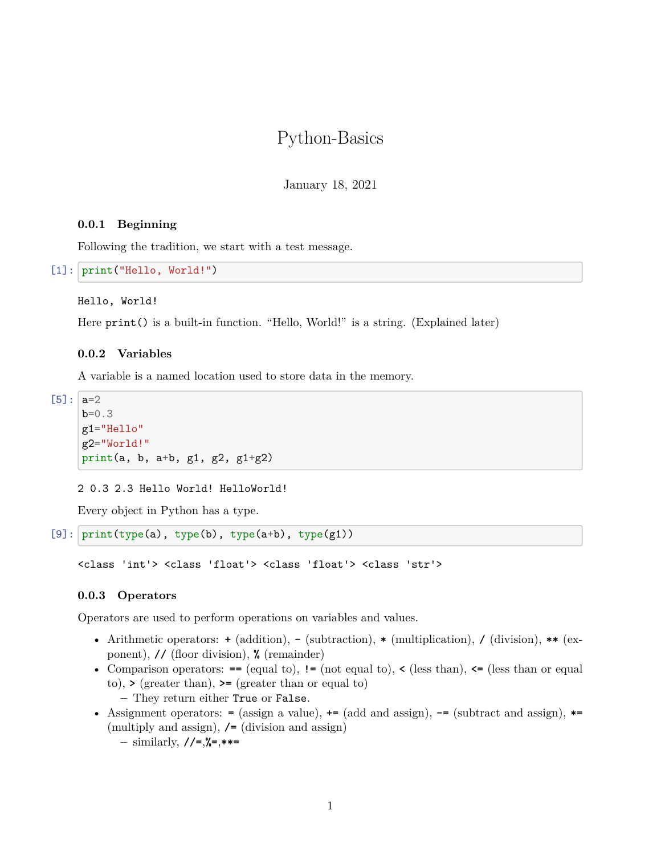# Python-Basics

January 18, 2021

# **0.0.1 Beginning**

Following the tradition, we start with a test message.

```
[1]: print("Hello, World!")
```
#### Hello, World!

Here print() is a built-in function. "Hello, World!" is a string. (Explained later)

### **0.0.2 Variables**

A variable is a named location used to store data in the memory.

 $[5]$ :  $a=2$ b=0.3 g1="Hello" g2="World!" print(a, b, a+b, g1, g2, g1+g2)

2 0.3 2.3 Hello World! HelloWorld!

Every object in Python has a type.

```
[9]: print(type(a), type(b), type(a+b), type(g1))
```
<class 'int'> <class 'float'> <class 'float'> <class 'str'>

#### **0.0.3 Operators**

Operators are used to perform operations on variables and values.

- Arithmetic operators: **+** (addition), **-** (subtraction), **\*** (multiplication), **/** (division), **\*\*** (exponent), **//** (floor division), **%** (remainder)
- Comparison operators:  $=$  (equal to),  $=$  (not equal to),  $\le$  (less than),  $\le$  (less than or equal to), **>** (greater than), **>=** (greater than or equal to) **–** They return either True or False.
- Assignment operators: **=** (assign a value), **+=** (add and assign), **-=** (subtract and assign), **\*=** (multiply and assign), **/=** (division and assign) **–** similarly, **//=**,**%=**,**\*\*=**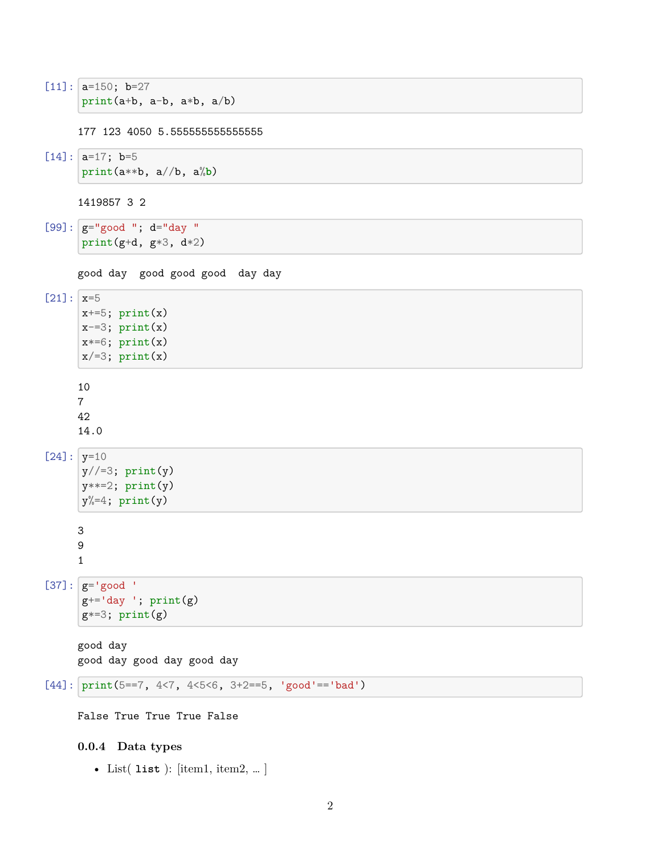$[11]$ :  $a=150$ ;  $b=27$ print(a+b, a-b, a\*b, a/b)

177 123 4050 5.555555555555555

```
[14]: a=17; b=5print(a**b, a//b, a%b)
```
1419857 3 2

```
[99]: |g="g00d"; d="day"
     print(g+d, g*3, d*2)
```

```
good day good good good day day
```

```
[21]: |x=5x+=5; print(x)x=-3; print(x)x*=6; print(x)x/ = 3; print(x)
     10
     7
     42
     14.0
[24]: y=10y//=3; print(y)y^{**=2}; print(y)
      y\text{m=4}; print(y)3
     9
     1
[37]: |g='good '
      g^{+-}'day '; print(g)g*=3; print(g)good day
     good day good day good day
```

```
[44]: print(5==7, 4<7, 4<5<6, 3+2==5, 'good'=='bad')
```
False True True True False

# **0.0.4 Data types**

• List( **list** ): [item1, item2, … ]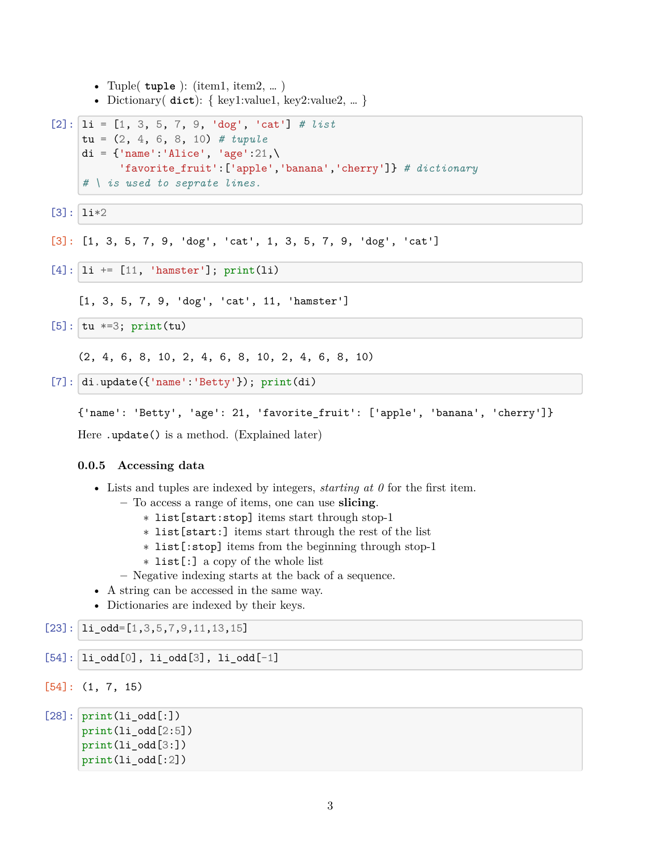```
• Tuple( tuple ): (item1, item2, … )
• Dictionary( dict): { key1:value1, key2:value2, … }
```

```
[2]: 1i = [1, 3, 5, 7, 9, 'dog', 'cat'] # list
     tu = (2, 4, 6, 8, 10) # tupule
     di = {\text{ 'name': 'Alice', 'age':21, \! }}'favorite_fruit':['apple','banana','cherry']} # dictionary
     # \ is used to seprate lines.
```
 $[3]$ :  $1i*2$ 

[3]: [1, 3, 5, 7, 9, 'dog', 'cat', 1, 3, 5, 7, 9, 'dog', 'cat']

```
[4]: |1i| += [11, 'hamster']; print(li)
```
[1, 3, 5, 7, 9, 'dog', 'cat', 11, 'hamster']

```
[5]: \tauu *=3; print(tu)
```
(2, 4, 6, 8, 10, 2, 4, 6, 8, 10, 2, 4, 6, 8, 10)

 $[7]:$  di.update({'name':'Betty'}); print(di)

{'name': 'Betty', 'age': 21, 'favorite\_fruit': ['apple', 'banana', 'cherry']}

Here .update() is a method. (Explained later)

# **0.0.5 Accessing data**

- Lists and tuples are indexed by integers, *starting at 0* for the first item.
	- **–** To access a range of items, one can use **slicing**.
		- ∗ list[start:stop] items start through stop-1
		- ∗ list[start:] items start through the rest of the list
		- ∗ list[:stop] items from the beginning through stop-1
		- ∗ list[:] a copy of the whole list
	- **–** Negative indexing starts at the back of a sequence.
- A string can be accessed in the same way.
- Dictionaries are indexed by their keys.

# $[23]$ :  $\lfloor$  li\_odd= $[1,3,5,7,9,11,13,15]$

```
[54]: |1i\_odd[0], 1i\_odd[3], 1i\_odd[-1]
```

```
[54]: (1, 7, 15)
```

```
[28]: print(i_odd[:])print(li_odd[2:5])
      print(li_odd[3:])
      print(li_odd[:2])
```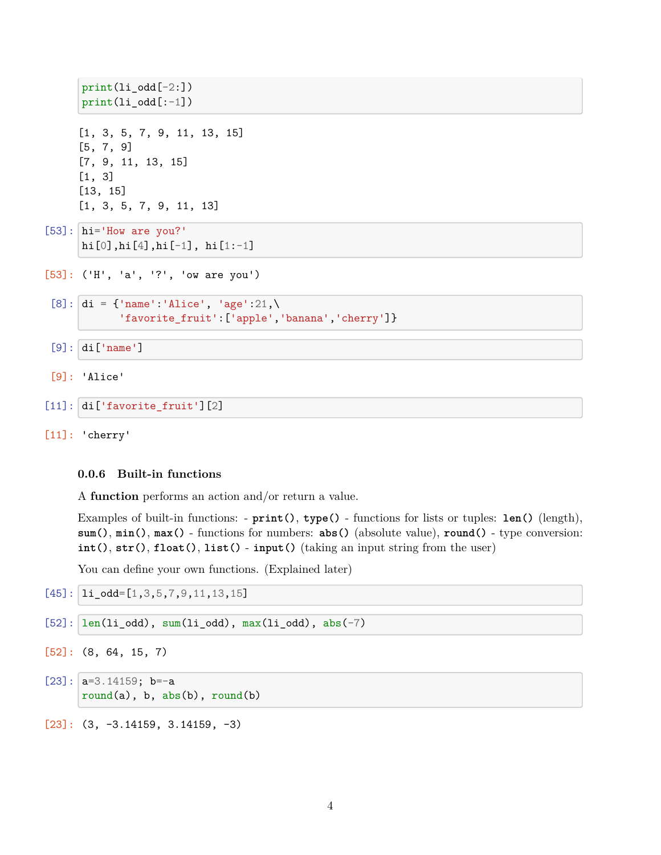```
print(i_odd[-2:])print(li\_odd[-1])[1, 3, 5, 7, 9, 11, 13, 15]
[5, 7, 9]
[7, 9, 11, 13, 15]
[1, 3]
[13, 15]
[1, 3, 5, 7, 9, 11, 13]
```

```
[53]: hi='How are you?'
     hi[0],hi[4],hi[-1], hi[1:-1]
```

```
[53]: ('H', 'a', '?', 'ow are you')
```

```
[8]: di = {'name':'Alice', 'age':21,\
           'favorite_fruit':['apple','banana','cherry']}
```
[9]: di['name']

- [9]: 'Alice'
- [11]: di['favorite\_fruit'][2]

[11]: 'cherry'

# **0.0.6 Built-in functions**

A **function** performs an action and/or return a value.

Examples of built-in functions: - **print()**, **type()** - functions for lists or tuples: **len()** (length), **sum()**, **min()**, **max()** - functions for numbers: **abs()** (absolute value), **round()** - type conversion: **int()**, **str()**, **float()**, **list()** - **input()** (taking an input string from the user)

You can define your own functions. (Explained later)

```
[45]: \lfloor li_odd=[1,3,5,7,9,11,13,15]
```

```
[52]: len(li_odd), sum(li_odd), max(li_odd), abs(-7)
```

```
[52]: (8, 64, 15, 7)
```
- $[23]$ :  $|a=3.14159; b=-a$  $round(a)$ , b,  $abs(b)$ ,  $round(b)$
- [23]: (3, -3.14159, 3.14159, -3)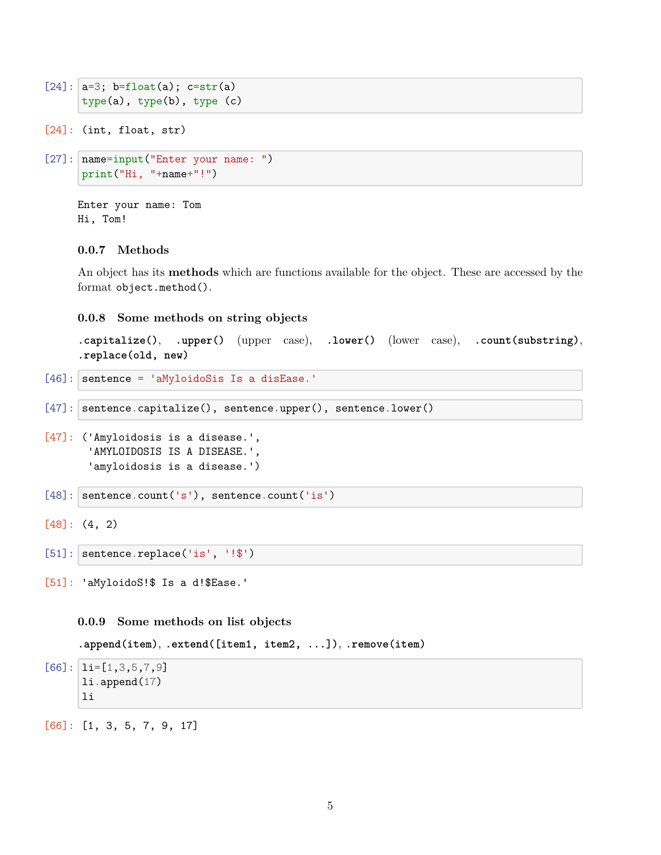```
[24]: a=3; b=float(a); c=str(a)
      type(a), type(b), type (c)
```

```
[24]: (int, float, str)
```

```
[27]: name=input("Enter your name: ")
      print("Hi, "+name+"!")
```
Enter your name: Tom Hi, Tom!

# **0.0.7 Methods**

An object has its **methods** which are functions available for the object. These are accessed by the format object.method().

#### **0.0.8 Some methods on string objects**

```
.capitalize(), .upper() (upper case), .lower() (lower case), .count(substring),
.replace(old, new)
```

```
[46]: sentence = 'aMyloidoSis Is a disEase.'
```

```
[47]: sentence.capitalize(), sentence.upper(), sentence.lower()
```

```
[47]: ('Amyloidosis is a disease.',
       'AMYLOIDOSIS IS A DISEASE.',
       'amyloidosis is a disease.')
```

```
[48]: sentence.count('s'), sentence.count('is')
```

```
[48]: (4, 2)
```

```
[51]: sentence.replace('is', '!$')
```

```
[51]: 'aMyloidoS!$ Is a d!$Ease.'
```
**0.0.9 Some methods on list objects**

**.append(item)**, **.extend([item1, item2, ...])**, **.remove(item)**

 $[66]$ :  $\lbrack 1$ i= $[1,3,5,7,9]$ li.append(17) li

[66]: [1, 3, 5, 7, 9, 17]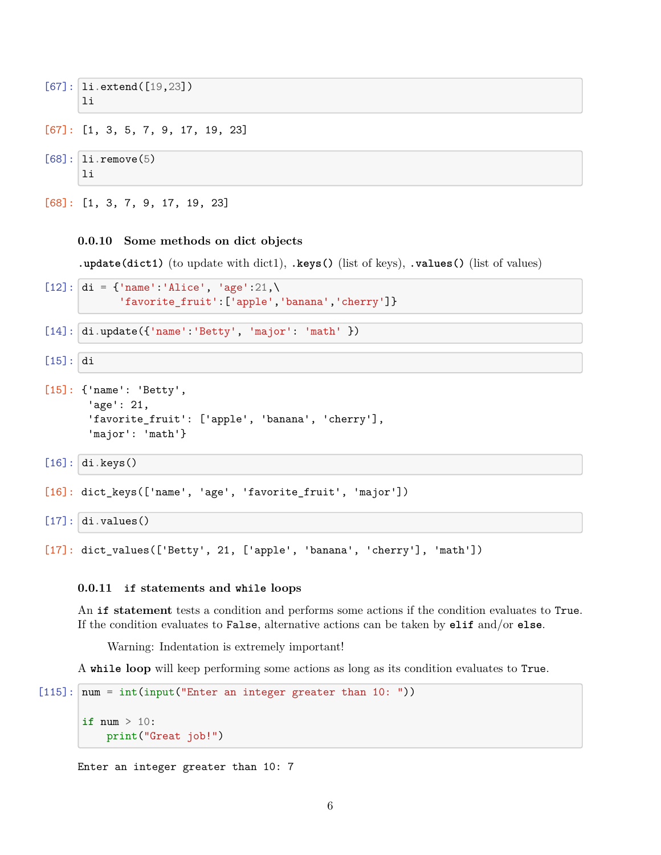```
[67]: 1i.extend([19,23])
      li
```

```
[67]: [1, 3, 5, 7, 9, 17, 19, 23]
```
 $[68]$ :  $\vert$  li.remove(5) li

[68]: [1, 3, 7, 9, 17, 19, 23]

# **0.0.10 Some methods on dict objects**

**.update(dict1)** (to update with dict1), **.keys()** (list of keys), **.values()** (list of values)

```
[12]: di = {'name':'Alice', 'age':21,\
            'favorite_fruit':['apple','banana','cherry']}
```

```
[14]: di.update({'name':'Betty', 'major': 'math' })
```

```
[15]: di
```

```
[15]: {'name': 'Betty',
       'age': 21,
       'favorite_fruit': ['apple', 'banana', 'cherry'],
       'major': 'math'}
```
[16]: di.keys()

```
[16]: dict_keys(['name', 'age', 'favorite_fruit', 'major'])
```

```
[17]: di.values()
```
[17]: dict\_values(['Betty', 21, ['apple', 'banana', 'cherry'], 'math'])

### **0.0.11 if statements and while loops**

An **if statement** tests a condition and performs some actions if the condition evaluates to True. If the condition evaluates to False, alternative actions can be taken by **elif** and/or **else**.

Warning: Indentation is extremely important!

A **while loop** will keep performing some actions as long as its condition evaluates to True.

```
[115]: \text{num} = \text{int}(\text{input}(\text{"Enter an integer greater than 10: ")}).if num > 10:
              print("Great job!")
```

```
Enter an integer greater than 10: 7
```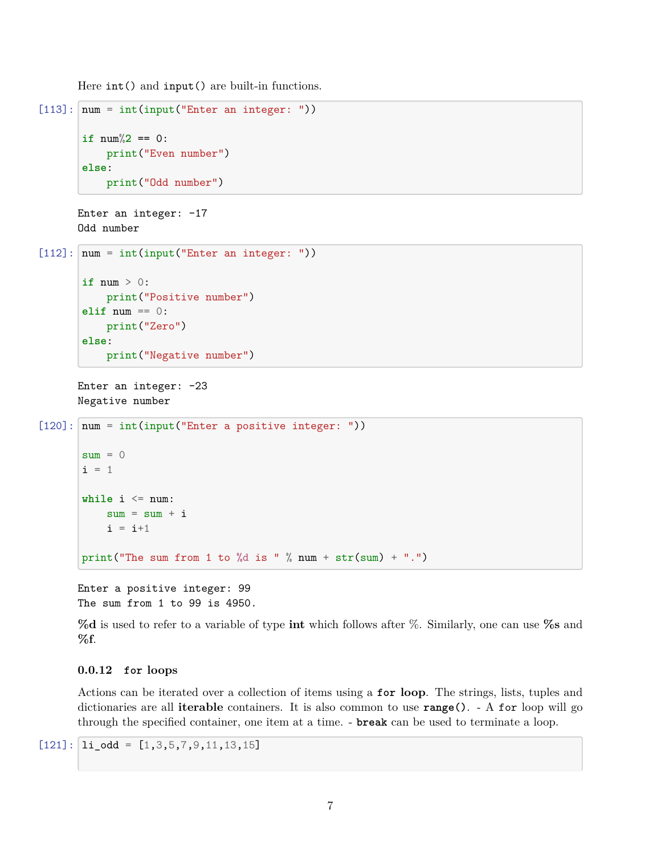Here int() and input() are built-in functions.

```
[113]: \vert num = int(input("Enter an integer: "))
       if num\%2 == 0:
            print("Even number")
       else:
            print("Odd number")
```

```
Enter an integer: -17
Odd number
```

```
[112]: num = int(input("Enter an integer: "))
       if num > 0:
           print("Positive number")
       elif num == 0:
           print("Zero")
       else:
           print("Negative number")
```
Enter an integer: -23 Negative number

```
[120]: | num = int(input("Enter a positive integer: "))
```

```
sum = 0i = 1while i \leq num:
    sum = sum + ii = i+1print("The sum from 1 to %d is " % num + str(sum) + ".")
```
Enter a positive integer: 99 The sum from 1 to 99 is 4950.

**%d** is used to refer to a variable of type **int** which follows after %. Similarly, one can use **%s** and **%f**.

# **0.0.12 for loops**

Actions can be iterated over a collection of items using a **for loop**. The strings, lists, tuples and dictionaries are all **iterable** containers. It is also common to use **range()**. - A for loop will go through the specified container, one item at a time. - **break** can be used to terminate a loop.

 $[121]:$   $\vert$   $1i$   $\vert$  odd =  $[1,3,5,7,9,11,13,15]$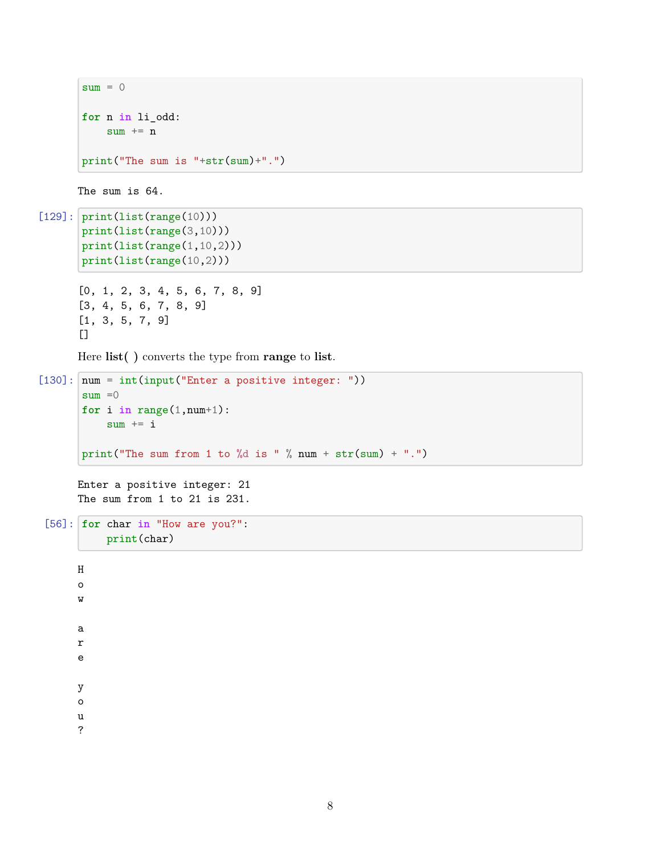```
sum = 0for n in li_odd:
   sum + = nprint("The sum is "+str(sum)+".")
```
The sum is 64.

```
[129]: \text{print(list(range(10)))}print(list(range(3,10)))
       print(list(range(1,10,2)))
       print(list(range(10,2)))
```

```
[0, 1, 2, 3, 4, 5, 6, 7, 8, 9]
[3, 4, 5, 6, 7, 8, 9]
[1, 3, 5, 7, 9]
\Box
```
Here **list( )** converts the type from **range** to **list**.

```
[130]: \vert num = int(input("Enter a positive integer: "))
       sum = 0for i in range(1,num+1):
           sum + = iprint("The sum from 1 to %d is " % num + str(sum) + ".")
```
Enter a positive integer: 21 The sum from 1 to 21 is 231.

```
[56]: for char in "How are you?":
          print(char)
```
 $\,$  H o w a r e y o u ?

8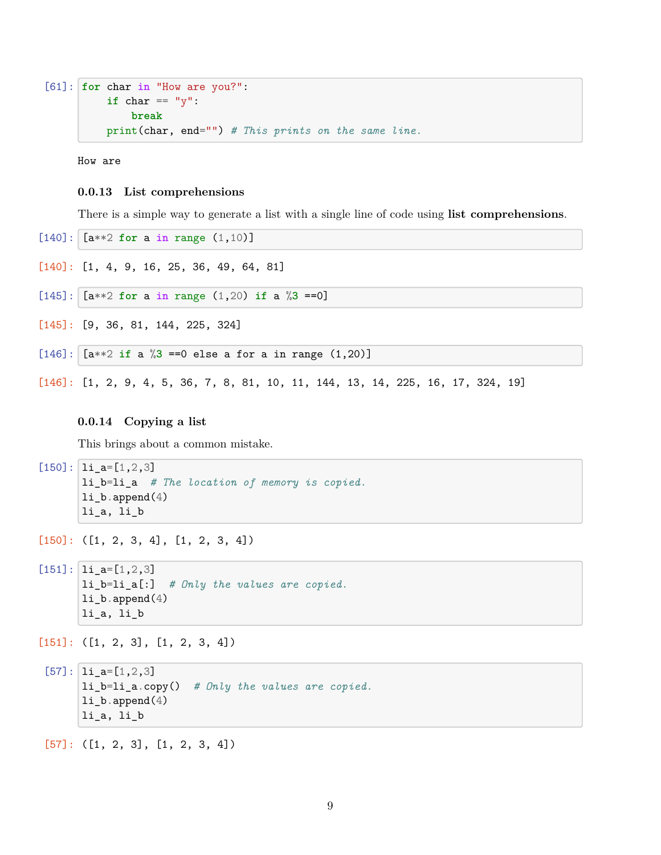```
[61]: for char in "How are you?":
          if char == "y":
              break
          print(char, end="") # This prints on the same line.
```
How are

#### **0.0.13 List comprehensions**

There is a simple way to generate a list with a single line of code using **list comprehensions**.

- [140]: [a\*\*2 **for** a **in** range (1,10)]
- [140]: [1, 4, 9, 16, 25, 36, 49, 64, 81]
- $[145]$ :  $[a**2 for a in range (1,20) if a %3 ==0]$
- [145]: [9, 36, 81, 144, 225, 324]
- $[146]$ :  $[a**2 \text{ if a } \%3 = 0 \text{ else a for a in range } (1,20)]$

[146]: [1, 2, 9, 4, 5, 36, 7, 8, 81, 10, 11, 144, 13, 14, 225, 16, 17, 324, 19]

## **0.0.14 Copying a list**

This brings about a common mistake.

 $[150]$ :  $\vert$  li\_a= $[1,2,3]$ li\_b=li\_a *# The location of memory is copied.*  $li\_b.append(4)$ li\_a, li\_b

- $[150]$ : ( $[1, 2, 3, 4]$ ,  $[1, 2, 3, 4]$ )
- $[151]: |$   $1i_a=[1,2,3]$ li\_b=li\_a[:] *# Only the values are copied.* li\_b.append(4) li\_a, li\_b
- $[151]$ :  $([1, 2, 3], [1, 2, 3, 4])$
- $[57]$ :  $1i_a=[1,2,3]$ li\_b=li\_a.copy() *# Only the values are copied.* li\_b.append(4) li\_a, li\_b

 $[57]$ :  $([1, 2, 3], [1, 2, 3, 4])$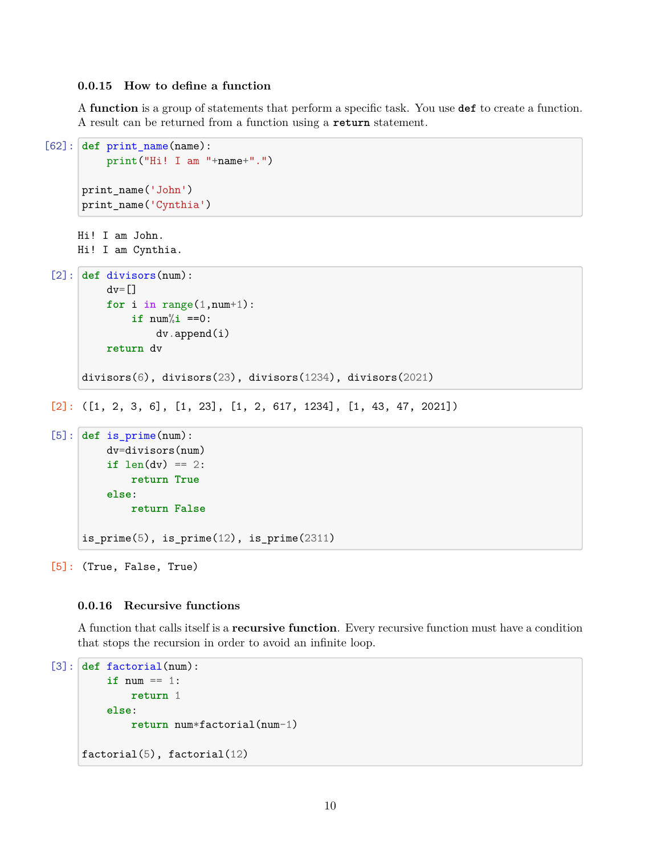# **0.0.15 How to define a function**

A **function** is a group of statements that perform a specific task. You use **def** to create a function. A result can be returned from a function using a **return** statement.

```
[62]: def print_name(name):
          print("Hi! I am "+name+".")
      print_name('John')
      print_name('Cynthia')
     Hi! I am John.
     Hi! I am Cynthia.
 [2]: def divisors(num):
          dv=[]for i in range(1, num+1):
              if num\%i ==0:
                  dv.append(i)
          return dv
      divisors(6), divisors(23), divisors(1234), divisors(2021)
 [2]: ([1, 2, 3, 6], [1, 23], [1, 2, 617, 1234], [1, 43, 47, 2021])
 [5]: def is prime(num):
```

```
dv=divisors(num)
    \mathbf{if} len(dv) == 2:
        return True
    else:
        return False
is_prime(5), is_prime(12), is_prime(2311)
```
[5]: (True, False, True)

# **0.0.16 Recursive functions**

A function that calls itself is a **recursive function**. Every recursive function must have a condition that stops the recursion in order to avoid an infinite loop.

```
[3]: def factorial(num):
         if num == 1:
             return 1
         else:
             return num*factorial(num-1)
     factorial(5), factorial(12)
```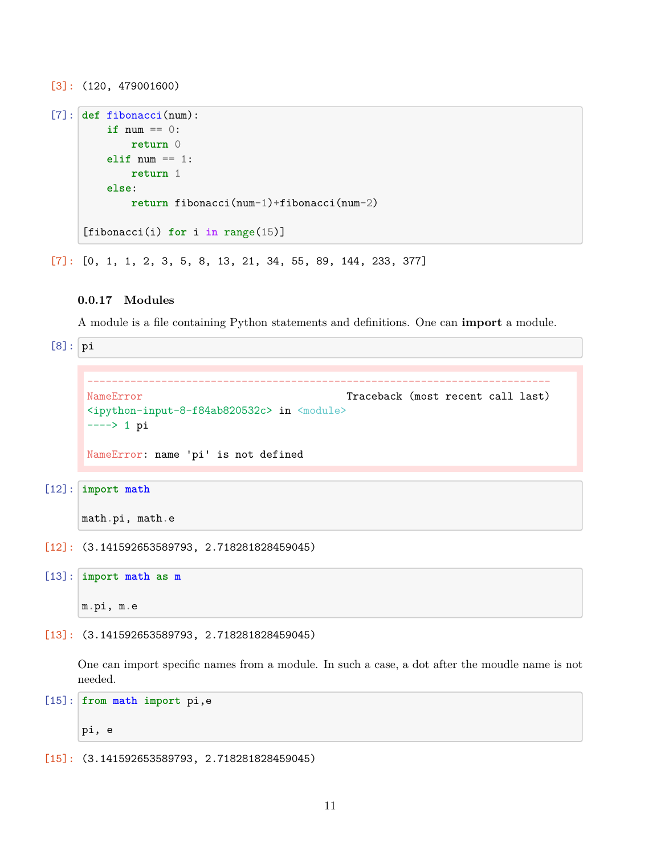```
[3]: (120, 479001600)
```

```
[7]: def fibonacci(num):
         if num == 0:
             return 0
         elif num == 1:
             return 1
         else:
             return fibonacci(num-1)+fibonacci(num-2)
     [fibonacci(i) for i in range(15)]
```
 $[7]$ :  $[0, 1, 1, 2, 3, 5, 8, 13, 21, 34, 55, 89, 144, 233, 377]$ 

# **0.0.17 Modules**

A module is a file containing Python statements and definitions. One can **import** a module.

 $[8]$ : pi

```
---------------------------------------------------------------------------
NameError Traceback (most recent call last)
<ipython-input-8-f84ab820532c> in <module>
----> 1 pi
NameError: name 'pi' is not defined
```

```
[12]: import math
```

```
math.pi, math.e
```
[12]: (3.141592653589793, 2.718281828459045)

```
[13]: import math as m
```

```
m.pi, m.e
```
[13]: (3.141592653589793, 2.718281828459045)

One can import specific names from a module. In such a case, a dot after the moudle name is not needed.

[15]: **from math import** pi,e

pi, e

[15]: (3.141592653589793, 2.718281828459045)